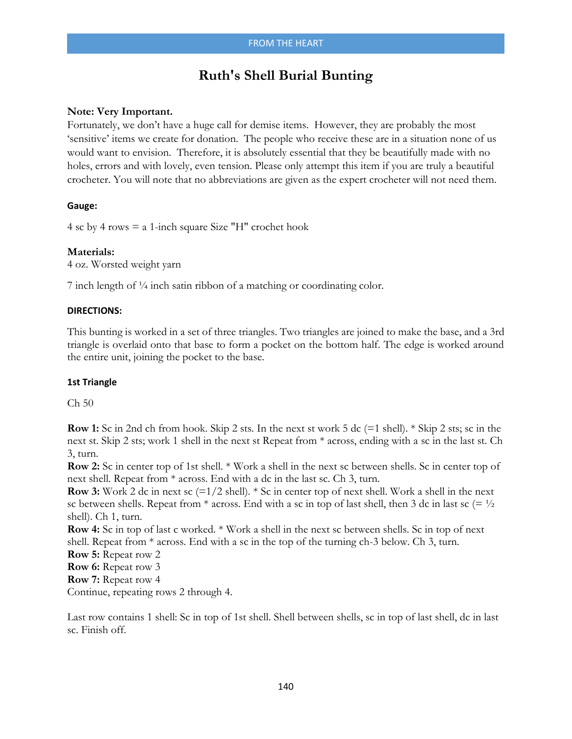# **Ruth's Shell Burial Bunting**

## **Note: Very Important.**

Fortunately, we don't have a huge call for demise items. However, they are probably the most 'sensitive' items we create for donation. The people who receive these are in a situation none of us would want to envision. Therefore, it is absolutely essential that they be beautifully made with no holes, errors and with lovely, even tension. Please only attempt this item if you are truly a beautiful crocheter. You will note that no abbreviations are given as the expert crocheter will not need them.

### **Gauge:**

4 sc by 4 rows  $= a 1$ -inch square Size "H" crochet hook

#### **Materials:**

4 oz. Worsted weight yarn

7 inch length of ¼ inch satin ribbon of a matching or coordinating color.

### **DIRECTIONS:**

This bunting is worked in a set of three triangles. Two triangles are joined to make the base, and a 3rd triangle is overlaid onto that base to form a pocket on the bottom half. The edge is worked around the entire unit, joining the pocket to the base.

### **1st Triangle**

Ch 50

**Row 1:** Sc in 2nd ch from hook. Skip 2 sts. In the next st work 5 dc (=1 shell). \* Skip 2 sts; sc in the next st. Skip 2 sts; work 1 shell in the next st Repeat from \* across, ending with a sc in the last st. Ch 3, turn.

**Row 2:** Sc in center top of 1st shell. \* Work a shell in the next sc between shells. Sc in center top of next shell. Repeat from \* across. End with a dc in the last sc. Ch 3, turn.

**Row 3:** Work 2 dc in next sc  $(=1/2$  shell).  $*$  Sc in center top of next shell. Work a shell in the next sc between shells. Repeat from \* across. End with a sc in top of last shell, then 3 dc in last sc (=  $\frac{1}{2}$ ) shell). Ch 1, turn.

**Row 4:** Sc in top of last c worked. \* Work a shell in the next sc between shells. Sc in top of next shell. Repeat from \* across. End with a sc in the top of the turning ch-3 below. Ch 3, turn.

**Row 5:** Repeat row 2

**Row 6:** Repeat row 3

**Row 7:** Repeat row 4

Continue, repeating rows 2 through 4.

Last row contains 1 shell: Sc in top of 1st shell. Shell between shells, sc in top of last shell, dc in last sc. Finish off.